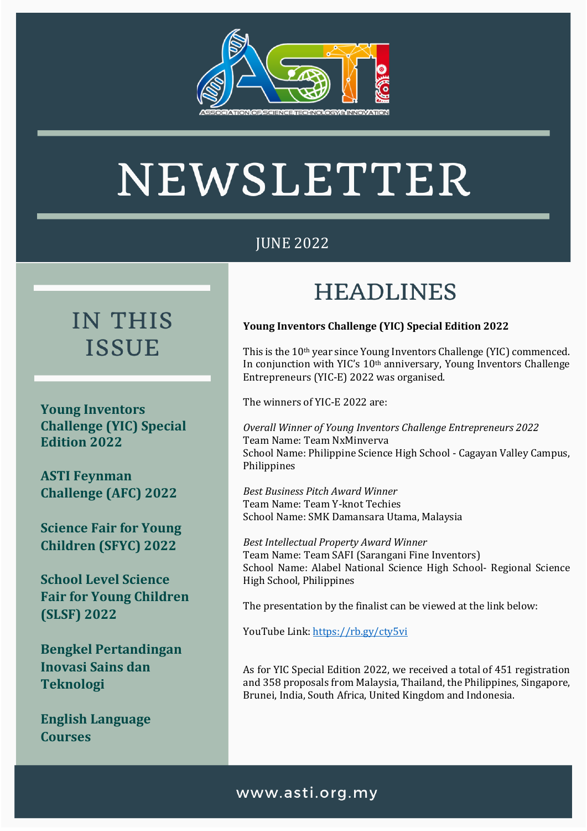

# NEWSLETTER

## JUNE 2022

## **IN THIS ISSUE**

**Young Inventors Challenge (YIC) Special Edition 2022** 

**ASTI Feynman Challenge (AFC) 2022**

**Science Fair for Young Children (SFYC) 2022**

**School Level Science Fair for Young Children (SLSF) 2022**

**Bengkel Pertandingan Inovasi Sains dan Teknologi**

**English Language Courses** 

# **HEADLINES**

#### **Young Inventors Challenge (YIC) Special Edition 2022**

This is the 10th year since Young Inventors Challenge (YIC) commenced. In conjunction with YIC's 10<sup>th</sup> anniversary, Young Inventors Challenge Entrepreneurs (YIC-E) 2022 was organised.

The winners of YIC-E 2022 are:

*Overall Winner of Young Inventors Challenge Entrepreneurs 2022* Team Name: Team NxMinverva School Name: Philippine Science High School - Cagayan Valley Campus, Philippines

*Best Business Pitch Award Winner* Team Name: Team Y-knot Techies School Name: SMK Damansara Utama, Malaysia

*Best Intellectual Property Award Winner*  Team Name: Team SAFI (Sarangani Fine Inventors) School Name: Alabel National Science High School- Regional Science High School, Philippines

The presentation by the finalist can be viewed at the link below:

YouTube Link[: https://rb.gy/cty5vi](https://rb.gy/cty5vi)

As for YIC Special Edition 2022, we received a total of 451 registration and 358 proposals from Malaysia, Thailand, the Philippines, Singapore, Brunei, India, South Africa, United Kingdom and Indonesia.

#### www.asti.org.my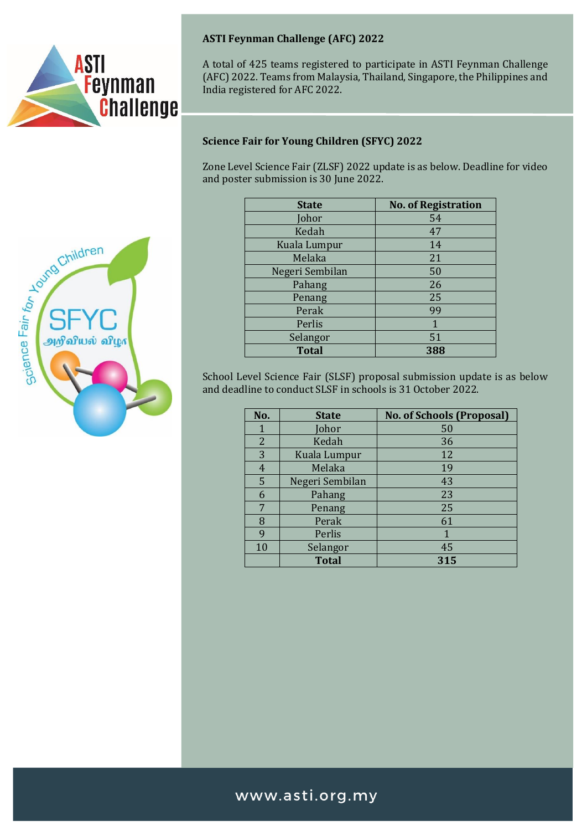



A total of 425 teams registered to participate in ASTI Feynman Challenge (AFC) 2022. Teams from Malaysia, Thailand, Singapore, the Philippines and India registered for AFC 2022.

#### **Science Fair for Young Children (SFYC) 2022**

Zone Level Science Fair (ZLSF) 2022 update is as below. Deadline for video and poster submission is 30 June 2022.

| <b>State</b>    | <b>No. of Registration</b> |
|-----------------|----------------------------|
| Johor           | 54                         |
| Kedah           | 47                         |
| Kuala Lumpur    | 14                         |
| Melaka          | 21                         |
| Negeri Sembilan | 50                         |
| Pahang          | 26                         |
| Penang          | 25                         |
| Perak           | 99                         |
| Perlis          | 1                          |
| Selangor        | 51                         |
| <b>Total</b>    | 388                        |

School Level Science Fair (SLSF) proposal submission update is as below and deadline to conduct SLSF in schools is 31 October 2022.

| No.            | <b>State</b>    | <b>No. of Schools (Proposal)</b> |
|----------------|-----------------|----------------------------------|
| 1              | Johor           | 50                               |
| $\overline{2}$ | Kedah           | 36                               |
| 3              | Kuala Lumpur    | 12                               |
| 4              | Melaka          | 19                               |
| 5              | Negeri Sembilan | 43                               |
| 6              | Pahang          | 23                               |
| 7              | Penang          | 25                               |
| 8              | Perak           | 61                               |
| 9              | Perlis          | 1                                |
| 10             | Selangor        | 45                               |
|                | <b>Total</b>    | 315                              |



### www.asti.org.my